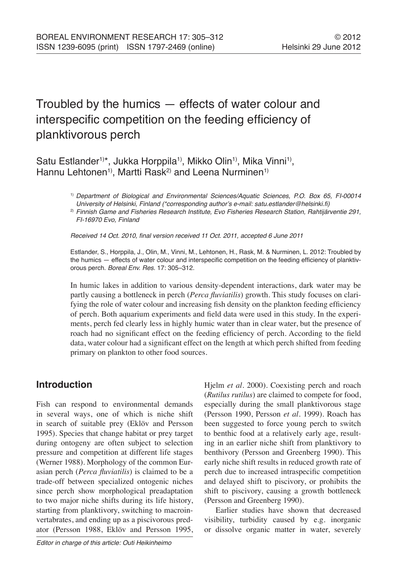# Troubled by the humics — effects of water colour and interspecific competition on the feeding efficiency of planktivorous perch

Satu Estlander<sup>1)\*</sup>, Jukka Horppila<sup>1)</sup>, Mikko Olin<sup>1)</sup>, Mika Vinni<sup>1)</sup>, Hannu Lehtonen<sup>1)</sup>, Martti Rask<sup>2)</sup> and Leena Nurminen<sup>1)</sup>

> 1) Department of Biological and Environmental Sciences/Aquatic Sciences, P.O. Box 65, FI-00014 University of Helsinki, Finland (\*corresponding author's e-mail: satu.estlander@helsinki.fi)

> <sup>2)</sup> Finnish Game and Fisheries Research Institute, Evo Fisheries Research Station, Rahtijärventie 291, FI-16970 Evo, Finland

Received 14 Oct. 2010, final version received 11 Oct. 2011, accepted 6 June 2011

Estlander, S., Horppila, J., Olin, M., Vinni, M., Lehtonen, H., Rask, M. & Nurminen, L. 2012: Troubled by the humics — effects of water colour and interspecific competition on the feeding efficiency of planktivorous perch. Boreal Env. Res. 17: 305–312.

In humic lakes in addition to various density-dependent interactions, dark water may be partly causing a bottleneck in perch (*Perca fluviatilis*) growth. This study focuses on clarifying the role of water colour and increasing fish density on the plankton feeding efficiency of perch. Both aquarium experiments and field data were used in this study. In the experiments, perch fed clearly less in highly humic water than in clear water, but the presence of roach had no significant effect on the feeding efficiency of perch. According to the field data, water colour had a significant effect on the length at which perch shifted from feeding primary on plankton to other food sources.

# **Introduction**

Fish can respond to environmental demands in several ways, one of which is niche shift in search of suitable prey (Eklöv and Persson 1995). Species that change habitat or prey target during ontogeny are often subject to selection pressure and competition at different life stages (Werner 1988). Morphology of the common Eurasian perch (*Perca fluviatilis*) is claimed to be a trade-off between specialized ontogenic niches since perch show morphological preadaptation to two major niche shifts during its life history, starting from planktivory, switching to macroinvertabrates, and ending up as a piscivorous predator (Persson 1988, Eklöv and Persson 1995, Hjelm *et al*. 2000). Coexisting perch and roach (*Rutilus rutilus*) are claimed to compete for food, especially during the small planktivorous stage (Persson 1990, Persson *et al*. 1999). Roach has been suggested to force young perch to switch to benthic food at a relatively early age, resulting in an earlier niche shift from planktivory to benthivory (Persson and Greenberg 1990). This early niche shift results in reduced growth rate of perch due to increased intraspecific competition and delayed shift to piscivory, or prohibits the shift to piscivory, causing a growth bottleneck (Persson and Greenberg 1990).

Earlier studies have shown that decreased visibility, turbidity caused by e.g. inorganic or dissolve organic matter in water, severely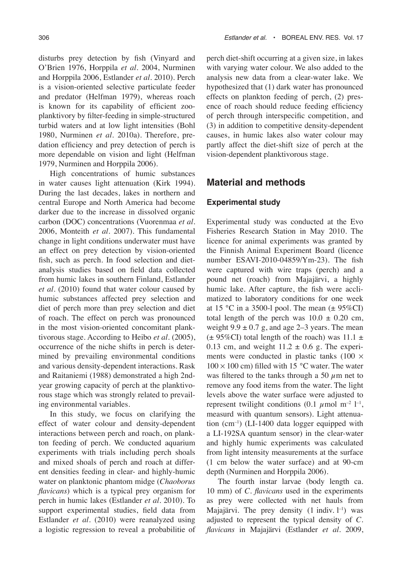disturbs prey detection by fish (Vinyard and O'Brien 1976, Horppila *et al*. 2004, Nurminen and Horppila 2006, Estlander *et al*. 2010). Perch is a vision-oriented selective particulate feeder and predator (Helfman 1979), whereas roach is known for its capability of efficient zooplanktivory by filter-feeding in simple-structured turbid waters and at low light intensities (Bohl 1980, Nurminen *et al*. 2010a). Therefore, predation efficiency and prey detection of perch is more dependable on vision and light (Helfman 1979, Nurminen and Horppila 2006).

High concentrations of humic substances in water causes light attenuation (Kirk 1994). During the last decades, lakes in northern and central Europe and North America had become darker due to the increase in dissolved organic carbon (DOC) concentrations (Vuorenmaa *et al*. 2006, Monteith *et al*. 2007). This fundamental change in light conditions underwater must have an effect on prey detection by vision-oriented fish, such as perch. In food selection and dietanalysis studies based on field data collected from humic lakes in southern Finland, Estlander *et al*. (2010) found that water colour caused by humic substances affected prey selection and diet of perch more than prey selection and diet of roach. The effect on perch was pronounced in the most vision-oriented concomitant planktivorous stage. According to Heibo *et al*. (2005), occurrence of the niche shifts in perch is determined by prevailing environmental conditions and various density-dependent interactions. Rask and Raitaniemi (1988) demonstrated a high 2ndyear growing capacity of perch at the planktivorous stage which was strongly related to prevailing environmental variables.

In this study, we focus on clarifying the effect of water colour and density-dependent interactions between perch and roach, on plankton feeding of perch. We conducted aquarium experiments with trials including perch shoals and mixed shoals of perch and roach at different densities feeding in clear- and highly-humic water on planktonic phantom midge (*Chaoborus flavicans*) which is a typical prey organism for perch in humic lakes (Estlander *et al*. 2010). To support experimental studies, field data from Estlander *et al*. (2010) were reanalyzed using a logistic regression to reveal a probabilitie of

perch diet-shift occurring at a given size, in lakes with varying water colour. We also added to the analysis new data from a clear-water lake. We hypothesized that (1) dark water has pronounced effects on plankton feeding of perch, (2) presence of roach should reduce feeding efficiency of perch through interspecific competition, and (3) in addition to competitive density-dependent causes, in humic lakes also water colour may partly affect the diet-shift size of perch at the vision-dependent planktivorous stage.

### **Material and methods**

#### **Experimental study**

Experimental study was conducted at the Evo Fisheries Research Station in May 2010. The licence for animal experiments was granted by the Finnish Animal Experiment Board (licence number ESAVI-2010-04859/Ym-23). The fish were captured with wire traps (perch) and a pound net (roach) from Majajärvi, a highly humic lake. After capture, the fish were acclimatized to laboratory conditions for one week at 15 °C in a 3500-l pool. The mean  $(\pm 95\% \text{CI})$ total length of the perch was  $10.0 \pm 0.20$  cm, weight  $9.9 \pm 0.7$  g, and age 2–3 years. The mean  $(\pm 95\% \text{CI})$  total length of the roach) was 11.1  $\pm$ 0.13 cm, and weight  $11.2 \pm 0.6$  g. The experiments were conducted in plastic tanks (100  $\times$  $100 \times 100$  cm) filled with 15 °C water. The water was filtered to the tanks through a 50  $\mu$ m net to remove any food items from the water. The light levels above the water surface were adjusted to represent twilight conditions (0.1  $\mu$  mol m<sup>-2</sup> l<sup>-1</sup>, measurd with quantum sensors). Light attenuation (cm–1) (LI-1400 data logger equipped with a LI-192SA quantum sensor) in the clear-water and highly humic experiments was calculated from light intensity measurements at the surface (1 cm below the water surface) and at 90-cm depth (Nurminen and Horppila 2006).

The fourth instar larvae (body length ca. 10 mm) of *C. flavicans* used in the experiments as prey were collected with net hauls from Majajärvi. The prey density  $(1 \text{ indiv. } l^{-1})$  was adjusted to represent the typical density of *C. flavicans* in Majajärvi (Estlander *et al*. 2009,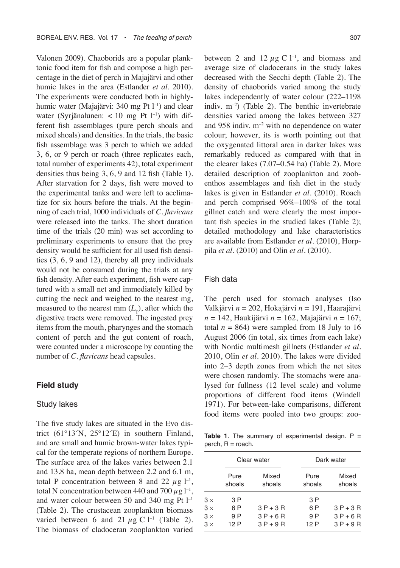Valonen 2009). Chaoborids are a popular planktonic food item for fish and compose a high percentage in the diet of perch in Majajärvi and other humic lakes in the area (Estlander *et al*. 2010). The experiments were conducted both in highlyhumic water (Majajärvi: 340 mg Pt l<sup>-1</sup>) and clear water (Syrjänalunen: < 10 mg Pt  $l^{-1}$ ) with different fish assemblages (pure perch shoals and mixed shoals) and densities. In the trials, the basic fish assemblage was 3 perch to which we added 3, 6, or 9 perch or roach (three replicates each, total number of experiments 42), total experiment densities thus being 3, 6, 9 and 12 fish (Table 1). After starvation for 2 days, fish were moved to the experimental tanks and were left to acclimatize for six hours before the trials. At the beginning of each trial, 1000 individuals of *C. flavicans* were released into the tanks. The short duration time of the trials (20 min) was set according to preliminary experiments to ensure that the prey density would be sufficient for all used fish densities (3, 6, 9 and 12), thereby all prey individuals would not be consumed during the trials at any fish density. After each experiment, fish were captured with a small net and immediately killed by cutting the neck and weighed to the nearest mg, measured to the nearest mm  $(L<sub>r</sub>)$ , after which the digestive tracts were removed. The ingested prey items from the mouth, pharynges and the stomach content of perch and the gut content of roach, were counted under a microscope by counting the number of *C. flavicans* head capsules.

#### **Field study**

#### Study lakes

The five study lakes are situated in the Evo district (61°13´N, 25°12´E) in southern Finland, and are small and humic brown-water lakes typical for the temperate regions of northern Europe. The surface area of the lakes varies between 2.1 and 13.8 ha, mean depth between 2.2 and 6.1 m, total P concentration between 8 and 22  $\mu$ g l<sup>-1</sup>, total N concentration between 440 and 700  $\mu$ g l<sup>-1</sup>, and water colour between 50 and 340 mg Pt  $l^{-1}$ (Table 2). The crustacean zooplankton biomass varied between 6 and 21  $\mu$ g C l<sup>-1</sup> (Table 2). The biomass of cladoceran zooplankton varied

between 2 and 12  $\mu$ g C l<sup>-1</sup>, and biomass and average size of cladocerans in the study lakes decreased with the Secchi depth (Table 2). The density of chaoborids varied among the study lakes independently of water colour (222–1198 indiv. m–2) (Table 2). The benthic invertebrate densities varied among the lakes between 327 and  $958$  indiv.  $m^{-2}$  with no dependence on water colour; however, its is worth pointing out that the oxygenated littoral area in darker lakes was remarkably reduced as compared with that in the clearer lakes (7.07–0.54 ha) (Table 2). More detailed description of zooplankton and zoobenthos assemblages and fish diet in the study lakes is given in Estlander *et al*. (2010). Roach and perch comprised 96%–100% of the total gillnet catch and were clearly the most important fish species in the studied lakes (Table 2); detailed methodology and lake characteristics are available from Estlander *et al*. (2010), Horppila *et al*. (2010) and Olin *et al*. (2010).

#### Fish data

The perch used for stomach analyses (Iso Valkjärvi *n* = 202, Hokajärvi *n* = 191, Haarajärvi *n* = 142, Haukijärvi *n* = 162, Majajärvi *n* = 167; total  $n = 864$ ) were sampled from 18 July to 16 August 2006 (in total, six times from each lake) with Nordic multimesh gillnets (Estlander *et al*. 2010, Olin *et al*. 2010). The lakes were divided into 2–3 depth zones from which the net sites were chosen randomly. The stomachs were analysed for fullness (12 level scale) and volume proportions of different food items (Windell 1971). For between-lake comparisons, different food items were pooled into two groups: zoo-

**Table 1**. The summary of experimental design.  $P =$  $perch, R = roach.$ 

|            |                | Clear water     |                | Dark water      |  |  |
|------------|----------------|-----------------|----------------|-----------------|--|--|
|            | Pure<br>shoals | Mixed<br>shoals | Pure<br>shoals | Mixed<br>shoals |  |  |
| $3 \times$ | 3 P            |                 | 3 P            |                 |  |  |
| $3 \times$ | 6 P            | $3P+3R$         | 6 P            | $3P+3R$         |  |  |
| $3 \times$ | 9 P            | $3P+6R$         | 9 P            | $3P+6R$         |  |  |
| $3 \times$ | 12 P           | $3P+9R$         | 12 P           | $3P+9R$         |  |  |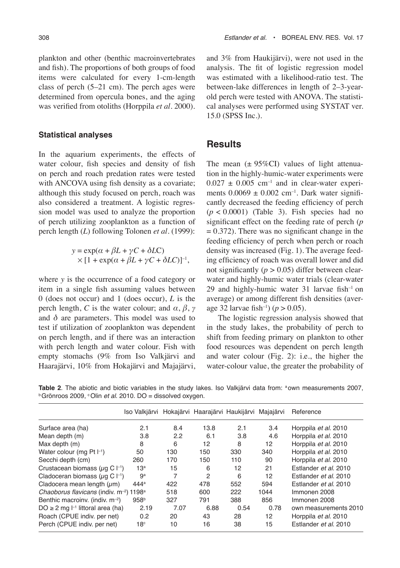plankton and other (benthic macroinvertebrates and fish). The proportions of both groups of food items were calculated for every 1-cm-length class of perch (5–21 cm). The perch ages were determined from opercula bones, and the aging was verified from otoliths (Horppila *et al*. 2000).

#### **Statistical analyses**

In the aquarium experiments, the effects of water colour, fish species and density of fish on perch and roach predation rates were tested with ANCOVA using fish density as a covariate; although this study focused on perch, roach was also considered a treatment. A logistic regression model was used to analyze the proportion of perch utilizing zooplankton as a function of perch length (*L*) following Tolonen *et al*. (1999):

$$
y = \exp(\alpha + \beta L + \gamma C + \delta LC)
$$
  
× [1 + \exp(\alpha + \beta L + \gamma C + \delta LC)]<sup>-1</sup>,

where *y* is the occurrence of a food category or item in a single fish assuming values between 0 (does not occur) and 1 (does occur), *L* is the perch length, *C* is the water colour; and  $\alpha$ ,  $\beta$ ,  $\gamma$ and  $\delta$  are parameters. This model was used to test if utilization of zooplankton was dependent on perch length, and if there was an interaction with perch length and water colour. Fish with empty stomachs (9% from Iso Valkjärvi and Haarajärvi, 10% from Hokajärvi and Majajärvi, and 3% from Haukijärvi), were not used in the analysis. The fit of logistic regression model was estimated with a likelihood-ratio test. The between-lake differences in length of 2–3-yearold perch were tested with ANOVA. The statistical analyses were performed using SYSTAT ver. 15.0 (SPSS Inc.).

## **Results**

The mean  $(\pm 95\%CI)$  values of light attenuation in the highly-humic-water experiments were  $0.027 \pm 0.005$  cm<sup>-1</sup> and in clear-water experiments  $0.0069 \pm 0.002$  cm<sup>-1</sup>. Dark water significantly decreased the feeding efficiency of perch  $(p < 0.0001)$  (Table 3). Fish species had no significant effect on the feeding rate of perch (*p*  $= 0.372$ ). There was no significant change in the feeding efficiency of perch when perch or roach density was increased (Fig. 1). The average feeding efficiency of roach was overall lower and did not significantly  $(p > 0.05)$  differ between clearwater and highly-humic water trials (clear-water 29 and highly-humic water 31 larvae fish–1 on average) or among different fish densities (average 32 larvae fish–1) (*p* > 0.05).

The logistic regression analysis showed that in the study lakes, the probability of perch to shift from feeding primary on plankton to other food resources was dependent on perch length and water colour (Fig. 2): i.e., the higher the water-colour value, the greater the probability of

**Table 2**. The abiotic and biotic variables in the study lakes. Iso Valkjärvi data from: <sup>a</sup> own measurements 2007,  $b$  Grönroos 2009, °Olin et al. 2010. DO = dissolved oxygen.

|                                                                 | Iso Valkjärvi Hokajärvi Haarajärvi Haukijärvi |      |               |      | Majajärvi | Reference             |
|-----------------------------------------------------------------|-----------------------------------------------|------|---------------|------|-----------|-----------------------|
| Surface area (ha)                                               | 2.1                                           | 8.4  | 13.8          | 2.1  | 3.4       | Horppila et al. 2010  |
| Mean depth (m)                                                  | 3.8                                           | 2.2  | 6.1           | 3.8  | 4.6       | Horppila et al. 2010  |
| Max depth (m)                                                   | 8                                             | 6    | 12            | 8    | 12        | Horppila et al. 2010  |
| Water colour (mg Pt $\vert^{-1}$ )                              | 50                                            | 130  | 150           | 330  | 340       | Horppila et al. 2010  |
| Secchi depth (cm)                                               | 260                                           | 170  | 150           | 110  | 90        | Horppila et al. 2010  |
| Crustacean biomass ( $\mu$ g C $\vdash$ <sup>1</sup> )          | 13 <sup>a</sup>                               | 15   | 6             | 12   | 21        | Estlander et al. 2010 |
| Cladoceran biomass ( $\mu$ g C $\vert^{-1}$ )                   | 9a                                            | 7    | $\mathcal{P}$ | 6    | 12        | Estlander et al. 2010 |
| Cladocera mean length $(\mu m)$                                 | 444 <sup>a</sup>                              | 422  | 478           | 552  | 594       | Estlander et al. 2010 |
| Chaoborus flavicans (indiv. m <sup>-2</sup> ) 1198 <sup>a</sup> |                                               | 518  | 600           | 222  | 1044      | Immonen 2008          |
| Benthic macroiny. (indiv. $m^{-2}$ )                            | 958 <sup>b</sup>                              | 327  | 791           | 388  | 856       | Immonen 2008          |
| $DO \ge 2$ mg $I^{-1}$ littoral area (ha)                       | 2.19                                          | 7.07 | 6.88          | 0.54 | 0.78      | own measurements 2010 |
| Roach (CPUE indiv. per net)                                     | 0.2                                           | 20   | 43            | 28   | 12        | Horppila et al. 2010  |
| Perch (CPUE indiv. per net)                                     | $18^{\circ}$                                  | 10   | 16            | 38   | 15        | Estlander et al. 2010 |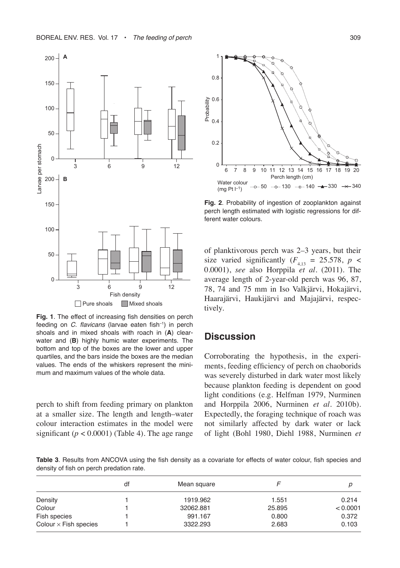

**Fig. 1**. The effect of increasing fish densities on perch feeding on C. flavicans (larvae eaten fish $^{-1}$ ) in perch shoals and in mixed shoals with roach in (**A**) clearwater and (**B**) highly humic water experiments. The bottom and top of the boxes are the lower and upper quartiles, and the bars inside the boxes are the median values. The ends of the whiskers represent the minimum and maximum values of the whole data.

perch to shift from feeding primary on plankton at a smaller size. The length and length–water colour interaction estimates in the model were significant  $(p < 0.0001)$  (Table 4). The age range



**Fig. 2**. Probability of ingestion of zooplankton against perch length estimated with logistic regressions for different water colours.

of planktivorous perch was 2–3 years, but their size varied significantly ( $F_{4,13}$  = 25.578,  $p \lt \sqrt{ }$ 0.0001), *see* also Horppila *et al*. (2011). The average length of 2-year-old perch was 96, 87, 78, 74 and 75 mm in Iso Valkjärvi, Hokajärvi, Haarajärvi, Haukijärvi and Majajärvi, respectively.

# **Discussion**

Corroborating the hypothesis, in the experiments, feeding efficiency of perch on chaoborids was severely disturbed in dark water most likely because plankton feeding is dependent on good light conditions (e.g. Helfman 1979, Nurminen and Horppila 2006, Nurminen *et al*. 2010b). Expectedly, the foraging technique of roach was not similarly affected by dark water or lack of light (Bohl 1980, Diehl 1988, Nurminen *et* 

**Table 3**. Results from ANCOVA using the fish density as a covariate for effects of water colour, fish species and density of fish on perch predation rate.

|                              | df | Mean square |        |          |
|------------------------------|----|-------------|--------|----------|
| Density                      |    | 1919.962    | 1.551  | 0.214    |
| Colour                       |    | 32062.881   | 25.895 | < 0.0001 |
| Fish species                 |    | 991.167     | 0.800  | 0.372    |
| Colour $\times$ Fish species |    | 3322.293    | 2.683  | 0.103    |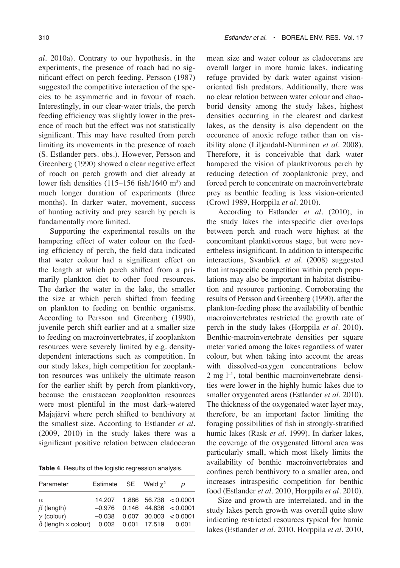*al*. 2010a). Contrary to our hypothesis, in the experiments, the presence of roach had no significant effect on perch feeding. Persson (1987) suggested the competitive interaction of the species to be asymmetric and in favour of roach. Interestingly, in our clear-water trials, the perch feeding efficiency was slightly lower in the presence of roach but the effect was not statistically significant. This may have resulted from perch limiting its movements in the presence of roach (S. Estlander pers. obs.). However, Persson and Greenberg (1990) showed a clear negative effect of roach on perch growth and diet already at lower fish densities  $(115-156 \text{ fish}/1640 \text{ m}^3)$  and much longer duration of experiments (three months). In darker water, movement, success of hunting activity and prey search by perch is fundamentally more limited.

Supporting the experimental results on the hampering effect of water colour on the feeding efficiency of perch, the field data indicated that water colour had a significant effect on the length at which perch shifted from a primarily plankton diet to other food resources. The darker the water in the lake, the smaller the size at which perch shifted from feeding on plankton to feeding on benthic organisms. According to Persson and Greenberg (1990), juvenile perch shift earlier and at a smaller size to feeding on macroinvertebrates, if zooplankton resources were severely limited by e.g. densitydependent interactions such as competition. In our study lakes, high competition for zooplankton resources was unlikely the ultimate reason for the earlier shift by perch from planktivory, because the crustacean zooplankton resources were most plentiful in the most dark-watered Majajärvi where perch shifted to benthivory at the smallest size. According to Estlander *et al*. (2009, 2010) in the study lakes there was a significant positive relation between cladoceran

**Table 4**. Results of the logistic regression analysis.

| Parameter                                                                                                       | Estimate SE Wald $\gamma^2$ |  | D                                                                                                   |
|-----------------------------------------------------------------------------------------------------------------|-----------------------------|--|-----------------------------------------------------------------------------------------------------|
| $\alpha$<br>$\beta$ (length)<br>$\gamma$ (colour)<br>$\delta$ (length $\times$ colour) 0.002 0.001 17.519 0.001 |                             |  | 14.207  1.886  56.738  < 0.0001<br>$-0.976$ 0.146 44.836 < 0.0001<br>$-0.038$ 0.007 30.003 < 0.0001 |

mean size and water colour as cladocerans are overall larger in more humic lakes, indicating refuge provided by dark water against visionoriented fish predators. Additionally, there was no clear relation between water colour and chaoborid density among the study lakes, highest densities occurring in the clearest and darkest lakes, as the density is also dependent on the occurence of anoxic refuge rather than on visibility alone (Liljendahl-Nurminen *et al*. 2008). Therefore, it is conceivable that dark water hampered the vision of planktivorous perch by reducing detection of zooplanktonic prey, and forced perch to concentrate on macroinvertebrate prey as benthic feeding is less vision-oriented (Crowl 1989, Horppila *et al*. 2010).

According to Estlander *et al*. (2010), in the study lakes the interspecific diet overlaps between perch and roach were highest at the concomitant planktivorous stage, but were nevertheless insignificant. In addition to interspecific interactions, Svanbäck *et al*. (2008) suggested that intraspecific competition within perch populations may also be important in habitat distribution and resource partioning. Corroborating the results of Persson and Greenberg (1990), after the plankton-feeding phase the availability of benthic macroinvertebrates restricted the growth rate of perch in the study lakes (Horppila *et al*. 2010). Benthic-macroinvertebrate densities per square meter varied among the lakes regardless of water colour, but when taking into account the areas with dissolved-oxygen concentrations below 2 mg l<sup>-1</sup>, total benthic macroinvertebrate densities were lower in the highly humic lakes due to smaller oxygenated areas (Estlander *et al*. 2010). The thickness of the oxygenated water layer may, therefore, be an important factor limiting the foraging possibilities of fish in strongly-stratified humic lakes (Rask *et al*. 1999). In darker lakes, the coverage of the oxygenated littoral area was particularly small, which most likely limits the availability of benthic macroinvertebrates and confines perch benthivory to a smaller area, and increases intraspesific competition for benthic food (Estlander *et al*. 2010, Horppila *et al*. 2010).

Size and growth are interrelated, and in the study lakes perch growth was overall quite slow indicating restricted resources typical for humic lakes (Estlander *et al*. 2010, Horppila *et al*. 2010,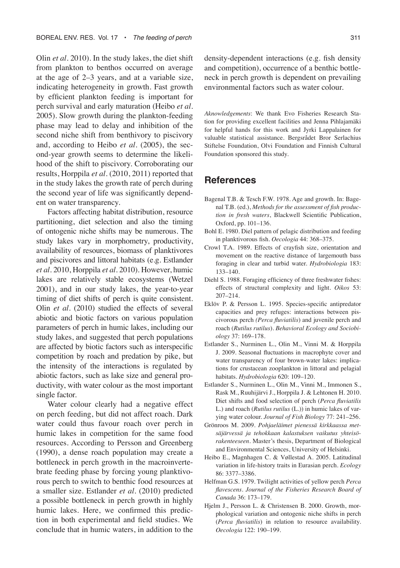Olin *et al*. 2010). In the study lakes, the diet shift from plankton to benthos occurred on average at the age of 2–3 years, and at a variable size, indicating heterogeneity in growth. Fast growth by efficient plankton feeding is important for perch survival and early maturation (Heibo *et al*. 2005). Slow growth during the plankton-feeding phase may lead to delay and inhibition of the second niche shift from benthivory to piscivory and, according to Heibo *et al*. (2005), the second-year growth seems to determine the likelihood of the shift to piscivory. Corroborating our results, Horppila *et al*. (2010, 2011) reported that in the study lakes the growth rate of perch during the second year of life was significantly dependent on water transparency.

Factors affecting habitat distribution, resource partitioning, diet selection and also the timing of ontogenic niche shifts may be numerous. The study lakes vary in morphometry, productivity, availability of resources, biomass of planktivores and piscivores and littoral habitats (e.g. Estlander *et al*. 2010, Horppila *et al*. 2010). However, humic lakes are relatively stable ecosystems (Wetzel 2001), and in our study lakes, the year-to-year timing of diet shifts of perch is quite consistent. Olin *et al*. (2010) studied the effects of several abiotic and biotic factors on various population parameters of perch in humic lakes, including our study lakes, and suggested that perch populations are affected by biotic factors such as interspecific competition by roach and predation by pike, but the intensity of the interactions is regulated by abiotic factors, such as lake size and general productivity, with water colour as the most important single factor.

Water colour clearly had a negative effect on perch feeding, but did not affect roach. Dark water could thus favour roach over perch in humic lakes in competition for the same food resources. According to Persson and Greenberg (1990), a dense roach population may create a bottleneck in perch growth in the macroinvertebrate feeding phase by forcing young planktivorous perch to switch to benthic food resources at a smaller size. Estlander *et al*. (2010) predicted a possible bottleneck in perch growth in highly humic lakes. Here, we confirmed this prediction in both experimental and field studies. We conclude that in humic waters, in addition to the

density-dependent interactions (e.g. fish density and competition), occurrence of a benthic bottleneck in perch growth is dependent on prevailing environmental factors such as water colour.

*Aknowledgements*: We thank Evo Fisheries Research Station for providing excellent facilities and Jenna Pihlajamäki for helpful hands for this work and Jyrki Lappalainen for valuable statistical assistance. Bergsrådet Bror Serlachius Stiftelse Foundation, Olvi Foundation and Finnish Cultural Foundation sponsored this study.

# **References**

- Bagenal T.B. & Tesch F.W. 1978. Age and growth. In: Bagenal T.B. (ed.), *Methods for the assessment of fish production in fresh waters*, Blackwell Scientific Publication, Oxford, pp. 101–136.
- Bohl E. 1980. Diel pattern of pelagic distribution and feeding in planktivorous fish. *Oecologia* 44: 368–375.
- Crowl T.A. 1989. Effects of crayfish size, orientation and movement on the reactive distance of largemouth bass foraging in clear and turbid water. *Hydrobiologia* 183: 133–140.
- Diehl S. 1988. Foraging efficiency of three freshwater fishes: effects of structural complexity and light. *Oikos* 53: 207–214.
- Eklöv P. & Persson L. 1995. Species-specific antipredator capacities and prey refuges: interactions between piscivorous perch *(Perca fluviatilis*) and juvenile perch and roach (*Rutilus rutilus*). *Behavioral Ecology and Sociobiology* 37: 169–178.
- Estlander S., Nurminen L., Olin M., Vinni M. & Horppila J. 2009. Seasonal fluctuations in macrophyte cover and water transparency of four brown-water lakes: implications for crustacean zooplankton in littoral and pelagial habitats. *Hydrobiologia* 620: 109–120.
- Estlander S., Nurminen L., Olin M., Vinni M., Immonen S., Rask M., Ruuhijärvi J., Horppila J. & Lehtonen H. 2010. Diet shifts and food selection of perch (*Perca fluviatilis* L.) and roach (*Rutilus rutilus* (L.)) in humic lakes of varying water colour. *Journal of Fish Biology* 77: 241–256.
- Grönroos M. 2009. *Pohjaeläimet pienessä kirkkaassa metsäjärvessä ja tehokkaan kalastuksen vaikutus yhteisörakenteeseen*. Master's thesis, Department of Biological and Environmental Sciences, University of Helsinki.
- Heibo E., Magnhagen C. & Vøllestad A. 2005. Latitudinal variation in life-history traits in Eurasian perch. *Ecology* 86: 3377–3386.
- Helfman G.S. 1979. Twilight activities of yellow perch *Perca flavescens*. *Journal of the Fisheries Research Board of Canada* 36: 173–179.
- Hjelm J., Persson L. & Christensen B. 2000. Growth, morphological variation and ontogenic niche shifts in perch (*Perca fluviatilis*) in relation to resource availability. *Oecologia* 122: 190–199.